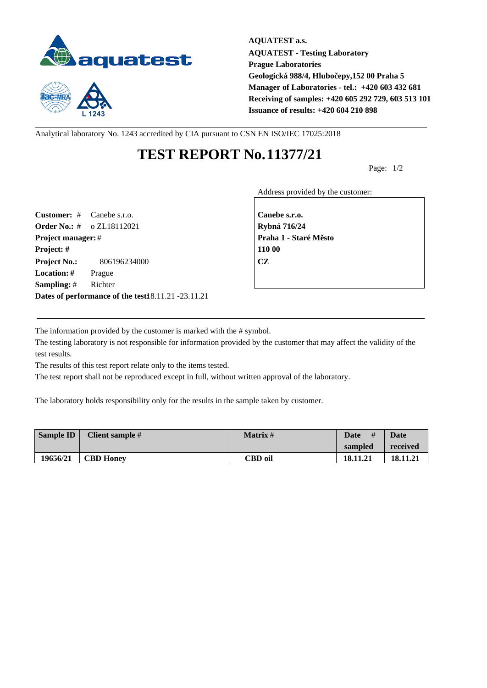



**AQUATEST a.s. AQUATEST - Testing Laboratory Prague Laboratories** Geologická 988/4, Hlubo epy,152 00 Praha 5 **Manager of Laboratories - tel.: +420 603 432 681 Receiving of samples: +420 605 292 729, 603 513 101 Issuance of results: +420 604 210 898**

Analytical laboratory No. 1243 accredited by CIA pursuant to CSN EN ISO/IEC 17025:2018

## **TEST REPORT No.11377/21**

Page: 1/2

Address provided by the customer:

**Customer:** # Canebe s.r.o. **Canebe s.r.o. Order No.:** # o ZL18112021 **Rybná 716/24 Project manager:** # **Praha 1 - Staré M** sto **Project: # 110 00 Project No.:** 806196234000 **CZ Location: #** Prague **Sampling:** # Richter **Dates of performance of the test:**18.11.21 -23.11.21

The information provided by the customer is marked with the # symbol.

The testing laboratory is not responsible for information provided by the customer that may affect the validity of the test results.

The results of this test report relate only to the items tested.

The test report shall not be reproduced except in full, without written approval of the laboratory.

The laboratory holds responsibility only for the results in the sample taken by customer.

| <b>Sample ID</b> | Client sample #  | $Matrix$ # | #<br>Date | <b>Date</b> |
|------------------|------------------|------------|-----------|-------------|
|                  |                  |            | sampled   | received    |
| 19656/21         | <b>CBD Honey</b> | CBD oil    | 18.11.21  | 18.11.21    |